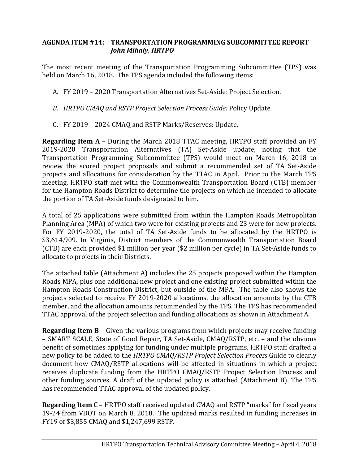## **AGENDA ITEM #14: TRANSPORTATION PROGRAMMING SUBCOMMITTEE REPORT** *John Mihaly, HRTPO*

The most recent meeting of the Transportation Programming Subcommittee (TPS) was held on March 16, 2018. The TPS agenda included the following items:

- A. FY 2019 2020 Transportation Alternatives Set-Aside: Project Selection.
- *B. HRTPO CMAQ and RSTP Project Selection Process Guide:* Policy Update*.*
- C. FY 2019 2024 CMAQ and RSTP Marks/Reserves: Update.

**Regarding Item A** – During the March 2018 TTAC meeting, HRTPO staff provided an FY 2019-2020 Transportation Alternatives (TA) Set-Aside update, noting that the Transportation Programming Subcommittee (TPS) would meet on March 16, 2018 to review the scored project proposals and submit a recommended set of TA Set-Aside projects and allocations for consideration by the TTAC in April. Prior to the March TPS meeting, HRTPO staff met with the Commonwealth Transportation Board (CTB) member for the Hampton Roads District to determine the projects on which he intended to allocate the portion of TA Set-Aside funds designated to him.

A total of 25 applications were submitted from within the Hampton Roads Metropolitan Planning Area (MPA) of which two were for existing projects and 23 were for new projects. For FY 2019-2020, the total of TA Set-Aside funds to be allocated by the HRTPO is \$3,614,909. In Virginia, District members of the Commonwealth Transportation Board (CTB) are each provided \$1 million per year (\$2 million per cycle) in TA Set-Aside funds to allocate to projects in their Districts.

The attached table (Attachment A) includes the 25 projects proposed within the Hampton Roads MPA, plus one additional new project and one existing project submitted within the Hampton Roads Construction District, but outside of the MPA. The table also shows the projects selected to receive FY 2019-2020 allocations, the allocation amounts by the CTB member, and the allocation amounts recommended by the TPS. The TPS has recommended TTAC approval of the project selection and funding allocations as shown in Attachment A.

**Regarding Item B** – Given the various programs from which projects may receive funding – SMART SCALE, State of Good Repair, TA Set-Aside, CMAQ/RSTP, etc. – and the obvious benefit of sometimes applying for funding under multiple programs, HRTPO staff drafted a new policy to be added to the *HRTPO CMAQ/RSTP Project Selection Process* Guide to clearly document how CMAQ/RSTP allocations will be affected in situations in which a project receives duplicate funding from the HRTPO CMAQ/RSTP Project Selection Process and other funding sources. A draft of the updated policy is attached (Attachment B). The TPS has recommended TTAC approval of the updated policy.

**Regarding Item C** – HRTPO staff received updated CMAQ and RSTP "marks" for fiscal years 19-24 from VDOT on March 8, 2018. The updated marks resulted in funding increases in FY19 of \$3,855 CMAQ and \$1,247,699 RSTP.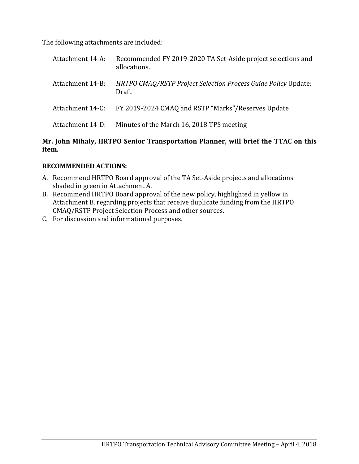The following attachments are included:

| Attachment 14-A: | Recommended FY 2019-2020 TA Set-Aside project selections and<br>allocations. |
|------------------|------------------------------------------------------------------------------|
| Attachment 14-B: | HRTPO CMAQ/RSTP Project Selection Process Guide Policy Update:<br>Draft      |
| Attachment 14-C: | FY 2019-2024 CMAQ and RSTP "Marks"/Reserves Update                           |
| Attachment 14-D: | Minutes of the March 16, 2018 TPS meeting                                    |

## **Mr. John Mihaly, HRTPO Senior Transportation Planner, will brief the TTAC on this item.**

## **RECOMMENDED ACTIONS:**

- A. Recommend HRTPO Board approval of the TA Set-Aside projects and allocations shaded in green in Attachment A.
- B. Recommend HRTPO Board approval of the new policy, highlighted in yellow in Attachment B, regarding projects that receive duplicate funding from the HRTPO CMAQ/RSTP Project Selection Process and other sources.
- C. For discussion and informational purposes.